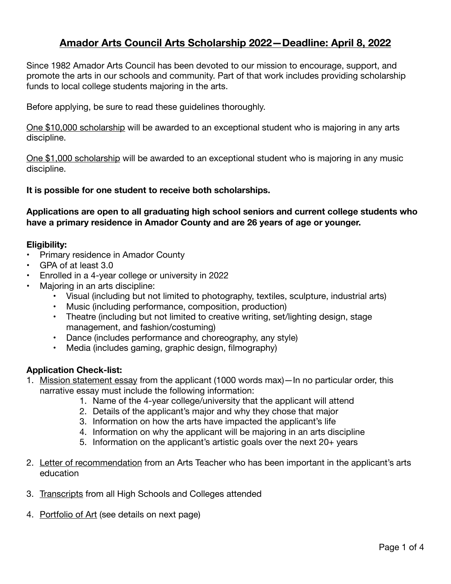# **Amador Arts Council Arts Scholarship 2022—Deadline: April 8, 2022**

Since 1982 Amador Arts Council has been devoted to our mission to encourage, support, and promote the arts in our schools and community. Part of that work includes providing scholarship funds to local college students majoring in the arts.

Before applying, be sure to read these guidelines thoroughly.

One \$10,000 scholarship will be awarded to an exceptional student who is majoring in any arts discipline.

One \$1,000 scholarship will be awarded to an exceptional student who is majoring in any music discipline.

#### **It is possible for one student to receive both scholarships.**

**Applications are open to all graduating high school seniors and current college students who have a primary residence in Amador County and are 26 years of age or younger.** 

#### **Eligibility:**

- Primary residence in Amador County
- GPA of at least 3.0
- Enrolled in a 4-year college or university in 2022
- Majoring in an arts discipline:
	- Visual (including but not limited to photography, textiles, sculpture, industrial arts)
	- Music (including performance, composition, production)
	- Theatre (including but not limited to creative writing, set/lighting design, stage management, and fashion/costuming)
	- Dance (includes performance and choreography, any style)
	- Media (includes gaming, graphic design, filmography)

#### **Application Check-list:**

- 1. Mission statement essay from the applicant (1000 words max)—In no particular order, this narrative essay must include the following information:
	- 1. Name of the 4-year college/university that the applicant will attend
	- 2. Details of the applicant's major and why they chose that major
	- 3. Information on how the arts have impacted the applicant's life
	- 4. Information on why the applicant will be majoring in an arts discipline
	- 5. Information on the applicant's artistic goals over the next  $20+$  years
- 2. Letter of recommendation from an Arts Teacher who has been important in the applicant's arts education
- 3. Transcripts from all High Schools and Colleges attended
- 4. Portfolio of Art (see details on next page)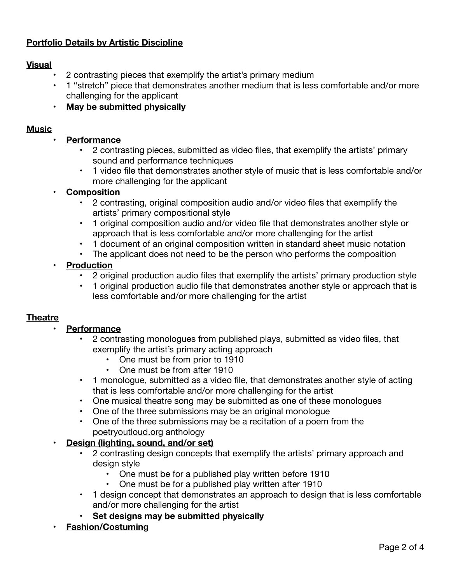## **Portfolio Details by Artistic Discipline**

#### **Visual**

- 2 contrasting pieces that exemplify the artist's primary medium
- 1 "stretch" piece that demonstrates another medium that is less comfortable and/or more challenging for the applicant
- **• May be submitted physically**

#### **Music**

- **• Performance** 
	- 2 contrasting pieces, submitted as video files, that exemplify the artists' primary sound and performance techniques
	- 1 video file that demonstrates another style of music that is less comfortable and/or more challenging for the applicant

#### **• Composition**

- 2 contrasting, original composition audio and/or video files that exemplify the artists' primary compositional style
- 1 original composition audio and/or video file that demonstrates another style or approach that is less comfortable and/or more challenging for the artist
- 1 document of an original composition written in standard sheet music notation
- The applicant does not need to be the person who performs the composition

#### **• Production**

- 2 original production audio files that exemplify the artists' primary production style
- 1 original production audio file that demonstrates another style or approach that is less comfortable and/or more challenging for the artist

#### **Theatre**

#### **• Performance**

- 2 contrasting monologues from published plays, submitted as video files, that exemplify the artist's primary acting approach
	- One must be from prior to 1910
	- One must be from after 1910
- 1 monologue, submitted as a video file, that demonstrates another style of acting that is less comfortable and/or more challenging for the artist
- One musical theatre song may be submitted as one of these monologues
- One of the three submissions may be an original monologue
- One of the three submissions may be a recitation of a poem from the [poetryoutloud.org](http://poetryoutloud.org) anthology

### **• Design (lighting, sound, and/or set)**

- 2 contrasting design concepts that exemplify the artists' primary approach and design style
	- One must be for a published play written before 1910
	- One must be for a published play written after 1910
- 1 design concept that demonstrates an approach to design that is less comfortable and/or more challenging for the artist
- **• Set designs may be submitted physically**
- **• Fashion/Costuming**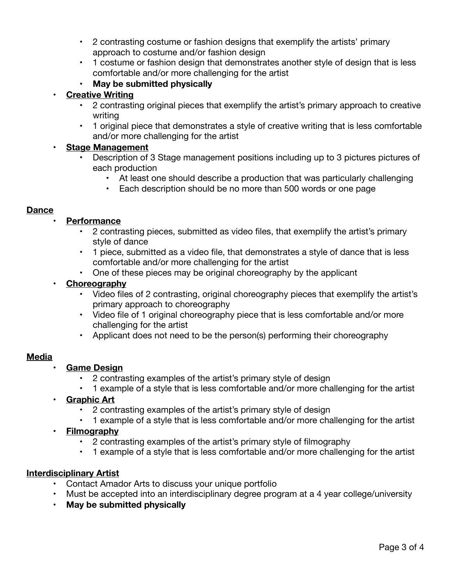- 2 contrasting costume or fashion designs that exemplify the artists' primary approach to costume and/or fashion design
- 1 costume or fashion design that demonstrates another style of design that is less comfortable and/or more challenging for the artist
- **• May be submitted physically**

## **• Creative Writing**

- 2 contrasting original pieces that exemplify the artist's primary approach to creative writing
- 1 original piece that demonstrates a style of creative writing that is less comfortable and/or more challenging for the artist

## **• Stage Management**

- Description of 3 Stage management positions including up to 3 pictures pictures of each production
	- At least one should describe a production that was particularly challenging
	- Each description should be no more than 500 words or one page

## **Dance**

## **• Performance**

- 2 contrasting pieces, submitted as video files, that exemplify the artist's primary style of dance
- 1 piece, submitted as a video file, that demonstrates a style of dance that is less comfortable and/or more challenging for the artist
- One of these pieces may be original choreography by the applicant

## **• Choreography**

- Video files of 2 contrasting, original choreography pieces that exemplify the artist's primary approach to choreography
- Video file of 1 original choreography piece that is less comfortable and/or more challenging for the artist
- Applicant does not need to be the person(s) performing their choreography

### **Media**

- **• Game Design** 
	- 2 contrasting examples of the artist's primary style of design
	- 1 example of a style that is less comfortable and/or more challenging for the artist
- **• Graphic Art** 
	- 2 contrasting examples of the artist's primary style of design
	- 1 example of a style that is less comfortable and/or more challenging for the artist

### **• Filmography**

- 2 contrasting examples of the artist's primary style of filmography
- 1 example of a style that is less comfortable and/or more challenging for the artist

### **Interdisciplinary Artist**

- Contact Amador Arts to discuss your unique portfolio
- Must be accepted into an interdisciplinary degree program at a 4 year college/university
- **• May be submitted physically**